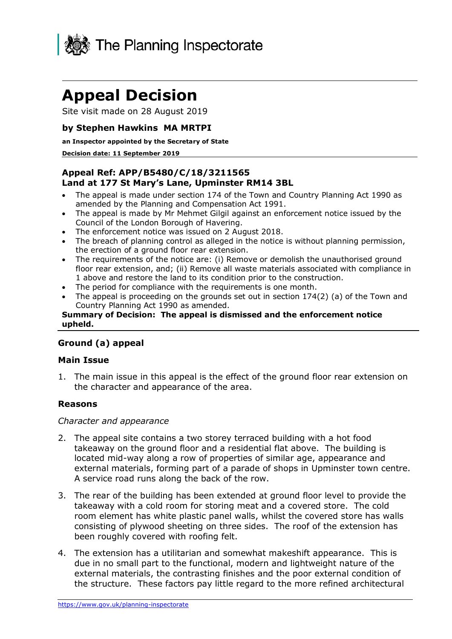

# **Appeal Decision**

Site visit made on 28 August 2019

# **by Stephen Hawkins MA MRTPI**

#### **an Inspector appointed by the Secretary of State**

#### **Decision date: 11 September 2019**

# **Appeal Ref: APP/B5480/C/18/3211565 Land at 177 St Mary's Lane, Upminster RM14 3BL**

- • The appeal is made under section 174 of the Town and Country Planning Act 1990 as amended by the Planning and Compensation Act 1991.
- • The appeal is made by Mr Mehmet Gilgil against an enforcement notice issued by the Council of the London Borough of Havering.
- The enforcement notice was issued on 2 August 2018.
- • The breach of planning control as alleged in the notice is without planning permission, the erection of a ground floor rear extension.
- • The requirements of the notice are: (i) Remove or demolish the unauthorised ground floor rear extension, and; (ii) Remove all waste materials associated with compliance in 1 above and restore the land to its condition prior to the construction.
- The period for compliance with the requirements is one month.
- • The appeal is proceeding on the grounds set out in section 174(2) (a) of the Town and Country Planning Act 1990 as amended.

#### **Summary of Decision: The appeal is dismissed and the enforcement notice upheld.**

# **Ground (a) appeal**

## **Main Issue**

 1. The main issue in this appeal is the effect of the ground floor rear extension on the character and appearance of the area.

## **Reasons**

#### *Character and appearance*

- 2. The appeal site contains a two storey terraced building with a hot food takeaway on the ground floor and a residential flat above. The building is located mid-way along a row of properties of similar age, appearance and A service road runs along the back of the row. external materials, forming part of a parade of shops in Upminster town centre.
- 3. The rear of the building has been extended at ground floor level to provide the takeaway with a cold room for storing meat and a covered store. The cold been roughly covered with roofing felt. room element has white plastic panel walls, whilst the covered store has walls consisting of plywood sheeting on three sides. The roof of the extension has
- 4. The extension has a utilitarian and somewhat makeshift appearance. This is the structure. These factors pay little regard to the more refined architectural due in no small part to the functional, modern and lightweight nature of the external materials, the contrasting finishes and the poor external condition of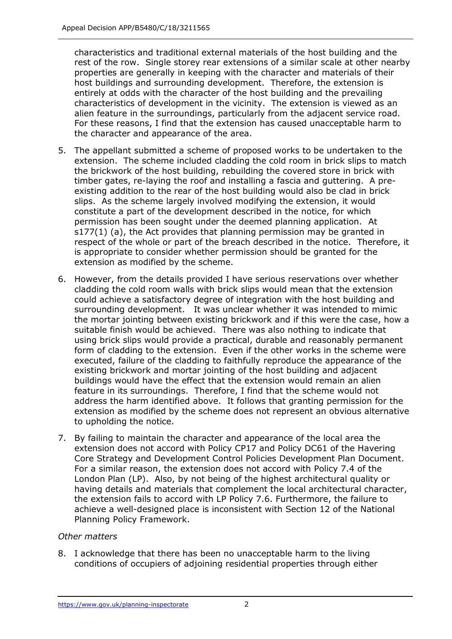rest of the row. Single storey rear extensions of a similar scale at other nearby properties are generally in keeping with the character and materials of their host buildings and surrounding development. Therefore, the extension is entirely at odds with the character of the host building and the prevailing characteristics of development in the vicinity. The extension is viewed as an alien feature in the surroundings, particularly from the adjacent service road. For these reasons, I find that the extension has caused unacceptable harm to the character and appearance of the area. characteristics and traditional external materials of the host building and the

- 5. The appellant submitted a scheme of proposed works to be undertaken to the extension. The scheme included cladding the cold room in brick slips to match the brickwork of the host building, rebuilding the covered store in brick with timber gates, re-laying the roof and installing a fascia and guttering. A pre- existing addition to the rear of the host building would also be clad in brick slips. As the scheme largely involved modifying the extension, it would constitute a part of the development described in the notice, for which permission has been sought under the deemed planning application. At s177(1) (a), the Act provides that planning permission may be granted in respect of the whole or part of the breach described in the notice. Therefore, it is appropriate to consider whether permission should be granted for the extension as modified by the scheme.
- 6. However, from the details provided I have serious reservations over whether cladding the cold room walls with brick slips would mean that the extension could achieve a satisfactory degree of integration with the host building and surrounding development. It was unclear whether it was intended to mimic the mortar jointing between existing brickwork and if this were the case, how a suitable finish would be achieved. There was also nothing to indicate that using brick slips would provide a practical, durable and reasonably permanent form of cladding to the extension. Even if the other works in the scheme were executed, failure of the cladding to faithfully reproduce the appearance of the existing brickwork and mortar jointing of the host building and adjacent buildings would have the effect that the extension would remain an alien feature in its surroundings. Therefore, I find that the scheme would not address the harm identified above. It follows that granting permission for the extension as modified by the scheme does not represent an obvious alternative to upholding the notice.
- 7. By failing to maintain the character and appearance of the local area the extension does not accord with Policy CP17 and Policy DC61 of the Havering Core Strategy and Development Control Policies Development Plan Document. For a similar reason, the extension does not accord with Policy 7.4 of the London Plan (LP). Also, by not being of the highest architectural quality or having details and materials that complement the local architectural character, the extension fails to accord with LP Policy 7.6. Furthermore, the failure to achieve a well-designed place is inconsistent with Section 12 of the National Planning Policy Framework.

## *Other matters*

 8. I acknowledge that there has been no unacceptable harm to the living conditions of occupiers of adjoining residential properties through either